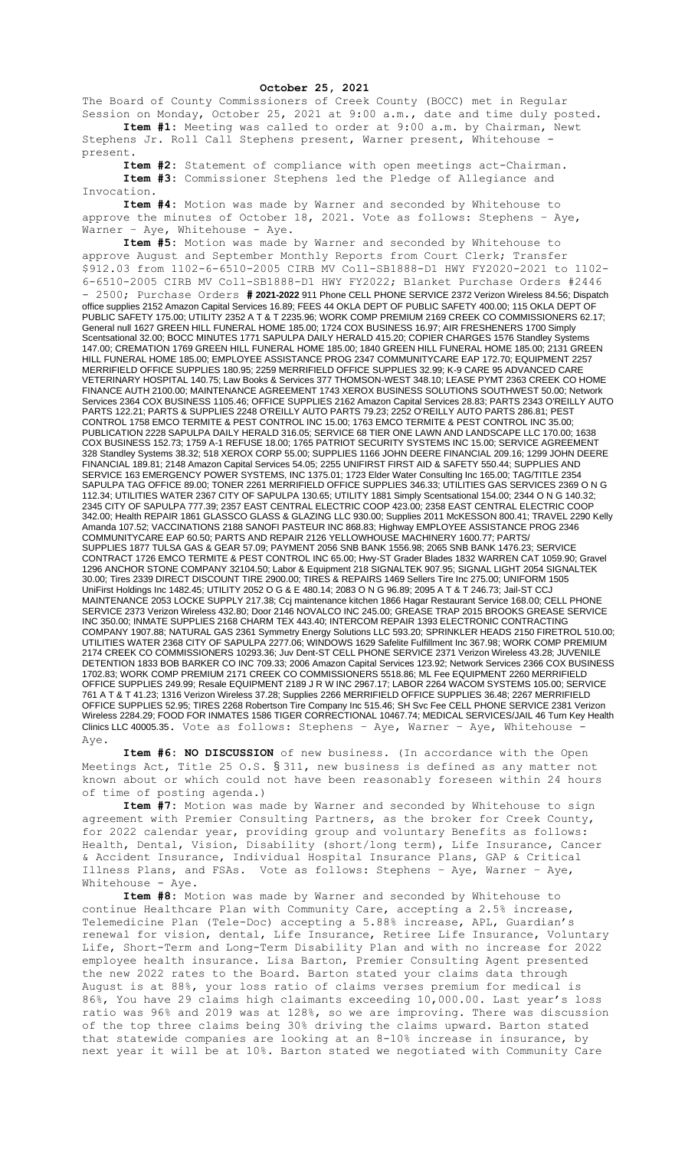## **October 25, 2021**

The Board of County Commissioners of Creek County (BOCC) met in Regular Session on Monday, October 25, 2021 at 9:00 a.m., date and time duly posted. **Item #1:** Meeting was called to order at 9:00 a.m. by Chairman, Newt

Stephens Jr. Roll Call Stephens present, Warner present, Whitehouse present.

**Item #2:** Statement of compliance with open meetings act-Chairman. **Item #3:** Commissioner Stephens led the Pledge of Allegiance and Invocation.

**Item #4:** Motion was made by Warner and seconded by Whitehouse to approve the minutes of October 18, 2021. Vote as follows: Stephens – Aye, Warner - Aye, Whitehouse - Aye.

**Item #5:** Motion was made by Warner and seconded by Whitehouse to approve August and September Monthly Reports from Court Clerk; Transfer \$912.03 from 1102-6-6510-2005 CIRB MV Coll-SB1888-D1 HWY FY2020-2021 to 1102- 6-6510-2005 CIRB MV Coll-SB1888-D1 HWY FY2022; Blanket Purchase Orders #2446 - 2500; Purchase Orders **# 2021-2022** 911 Phone CELL PHONE SERVICE 2372 Verizon Wireless 84.56; Dispatch office supplies 2152 Amazon Capital Services 16.89; FEES 44 OKLA DEPT OF PUBLIC SAFETY 400.00; 115 OKLA DEPT OF PUBLIC SAFETY 175.00; UTILITY 2352 A T & T 2235.96; WORK COMP PREMIUM 2169 CREEK CO COMMISSIONERS 62.17; General null 1627 GREEN HILL FUNERAL HOME 185.00; 1724 COX BUSINESS 16.97; AIR FRESHENERS 1700 Simply Scentsational 32.00; BOCC MINUTES 1771 SAPULPA DAILY HERALD 415.20; COPIER CHARGES 1576 Standley Systems 147.00; CREMATION 1769 GREEN HILL FUNERAL HOME 185.00; 1840 GREEN HILL FUNERAL HOME 185.00; 2131 GREEN HILL FUNERAL HOME 185.00; EMPLOYEE ASSISTANCE PROG 2347 COMMUNITYCARE EAP 172.70; EQUIPMENT 2257 MERRIFIELD OFFICE SUPPLIES 180.95; 2259 MERRIFIELD OFFICE SUPPLIES 32.99; K-9 CARE 95 ADVANCED CARE VETERINARY HOSPITAL 140.75; Law Books & Services 377 THOMSON-WEST 348.10; LEASE PYMT 2363 CREEK CO HOME FINANCE AUTH 2100.00; MAINTENANCE AGREEMENT 1743 XEROX BUSINESS SOLUTIONS SOUTHWEST 50.00; Network Services 2364 COX BUSINESS 1105.46; OFFICE SUPPLIES 2162 Amazon Capital Services 28.83; PARTS 2343 O'REILLY AUTO PARTS 122.21; PARTS & SUPPLIES 2248 O'REILLY AUTO PARTS 79.23; 2252 O'REILLY AUTO PARTS 286.81; PEST CONTROL 1758 EMCO TERMITE & PEST CONTROL INC 15.00; 1763 EMCO TERMITE & PEST CONTROL INC 35.00; PUBLICATION 2228 SAPULPA DAILY HERALD 316.05; SERVICE 68 TIER ONE LAWN AND LANDSCAPE LLC 170.00; 1638 COX BUSINESS 152.73; 1759 A-1 REFUSE 18.00; 1765 PATRIOT SECURITY SYSTEMS INC 15.00; SERVICE AGREEMENT 328 Standley Systems 38.32; 518 XEROX CORP 55.00; SUPPLIES 1166 JOHN DEERE FINANCIAL 209.16; 1299 JOHN DEERE FINANCIAL 189.81; 2148 Amazon Capital Services 54.05; 2255 UNIFIRST FIRST AID & SAFETY 550.44; SUPPLIES AND SERVICE 163 EMERGENCY POWER SYSTEMS, INC 1375.01; 1723 Elder Water Consulting Inc 165.00; TAG/TITLE 2354 SAPULPA TAG OFFICE 89.00; TONER 2261 MERRIFIELD OFFICE SUPPLIES 346.33; UTILITIES GAS SERVICES 2369 O N G 112.34; UTILITIES WATER 2367 CITY OF SAPULPA 130.65; UTILITY 1881 Simply Scentsational 154.00; 2344 O N G 140.32; 2345 CITY OF SAPULPA 777.39; 2357 EAST CENTRAL ELECTRIC COOP 423.00; 2358 EAST CENTRAL ELECTRIC COOP 342.00; Health REPAIR 1861 GLASSCO GLASS & GLAZING LLC 930.00; Supplies 2011 McKESSON 800.41; TRAVEL 2290 Kelly Amanda 107.52; VACCINATIONS 2188 SANOFI PASTEUR INC 868.83; Highway EMPLOYEE ASSISTANCE PROG 2346 COMMUNITYCARE EAP 60.50; PARTS AND REPAIR 2126 YELLOWHOUSE MACHINERY 1600.77; PARTS/ SUPPLIES 1877 TULSA GAS & GEAR 57.09; PAYMENT 2056 SNB BANK 1556.98; 2065 SNB BANK 1476.23; SERVICE CONTRACT 1726 EMCO TERMITE & PEST CONTROL INC 65.00; Hwy-ST Grader Blades 1832 WARREN CAT 1059.90; Gravel 1296 ANCHOR STONE COMPANY 32104.50; Labor & Equipment 218 SIGNALTEK 907.95; SIGNAL LIGHT 2054 SIGNALTEK 30.00; Tires 2339 DIRECT DISCOUNT TIRE 2900.00; TIRES & REPAIRS 1469 Sellers Tire Inc 275.00; UNIFORM 1505 UniFirst Holdings Inc 1482.45; UTILITY 2052 O G & E 480.14; 2083 O N G 96.89; 2095 A T & T 246.73; Jail-ST CCJ MAINTENANCE 2053 LOCKE SUPPLY 217.38; Ccj maintenance kitchen 1866 Hagar Restaurant Service 168.00; CELL PHONE SERVICE 2373 Verizon Wireless 432.80; Door 2146 NOVALCO INC 245.00; GREASE TRAP 2015 BROOKS GREASE SERVICE INC 350.00; INMATE SUPPLIES 2168 CHARM TEX 443.40; INTERCOM REPAIR 1393 ELECTRONIC CONTRACTING COMPANY 1907.88; NATURAL GAS 2361 Symmetry Energy Solutions LLC 593.20; SPRINKLER HEADS 2150 FIRETROL 510.00; UTILITIES WATER 2368 CITY OF SAPULPA 2277.06; WINDOWS 1629 Safelite Fulfillment Inc 367.98; WORK COMP PREMIUM 2174 CREEK CO COMMISSIONERS 10293.36; Juv Dent-ST CELL PHONE SERVICE 2371 Verizon Wireless 43.28; JUVENILE DETENTION 1833 BOB BARKER CO INC 709.33; 2006 Amazon Capital Services 123.92; Network Services 2366 COX BUSINESS 1702.83; WORK COMP PREMIUM 2171 CREEK CO COMMISSIONERS 5518.86; ML Fee EQUIPMENT 2260 MERRIFIELD OFFICE SUPPLIES 249.99; Resale EQUIPMENT 2189 J R W INC 2967.17; LABOR 2264 WACOM SYSTEMS 105.00; SERVICE 761 A T & T 41.23; 1316 Verizon Wireless 37.28; Supplies 2266 MERRIFIELD OFFICE SUPPLIES 36.48; 2267 MERRIFIELD OFFICE SUPPLIES 52.95; TIRES 2268 Robertson Tire Company Inc 515.46; SH Svc Fee CELL PHONE SERVICE 2381 Verizon Wireless 2284.29; FOOD FOR INMATES 1586 TIGER CORRECTIONAL 10467.74; MEDICAL SERVICES/JAIL 46 Turn Key Health Clinics LLC 40005.35. Vote as follows: Stephens - Aye, Warner - Aye, Whitehouse Aye.

**Item #6: NO DISCUSSION** of new business. (In accordance with the Open Meetings Act, Title 25 O.S. § 311, new business is defined as any matter not known about or which could not have been reasonably foreseen within 24 hours of time of posting agenda.)

**Item #7:** Motion was made by Warner and seconded by Whitehouse to sign agreement with Premier Consulting Partners, as the broker for Creek County, for 2022 calendar year, providing group and voluntary Benefits as follows: Health, Dental, Vision, Disability (short/long term), Life Insurance, Cancer & Accident Insurance, Individual Hospital Insurance Plans, GAP & Critical Illness Plans, and FSAs. Vote as follows: Stephens – Aye, Warner – Aye, Whitehouse - Aye.

**Item #8:** Motion was made by Warner and seconded by Whitehouse to continue Healthcare Plan with Community Care, accepting a 2.5% increase, Telemedicine Plan (Tele-Doc) accepting a 5.88% increase, APL, Guardian's renewal for vision, dental, Life Insurance, Retiree Life Insurance, Voluntary Life, Short-Term and Long-Term Disability Plan and with no increase for 2022 employee health insurance. Lisa Barton, Premier Consulting Agent presented the new 2022 rates to the Board. Barton stated your claims data through August is at 88%, your loss ratio of claims verses premium for medical is 86%, You have 29 claims high claimants exceeding 10,000.00. Last year's loss ratio was 96% and 2019 was at 128%, so we are improving. There was discussion of the top three claims being 30% driving the claims upward. Barton stated that statewide companies are looking at an 8-10% increase in insurance, by next year it will be at 10%. Barton stated we negotiated with Community Care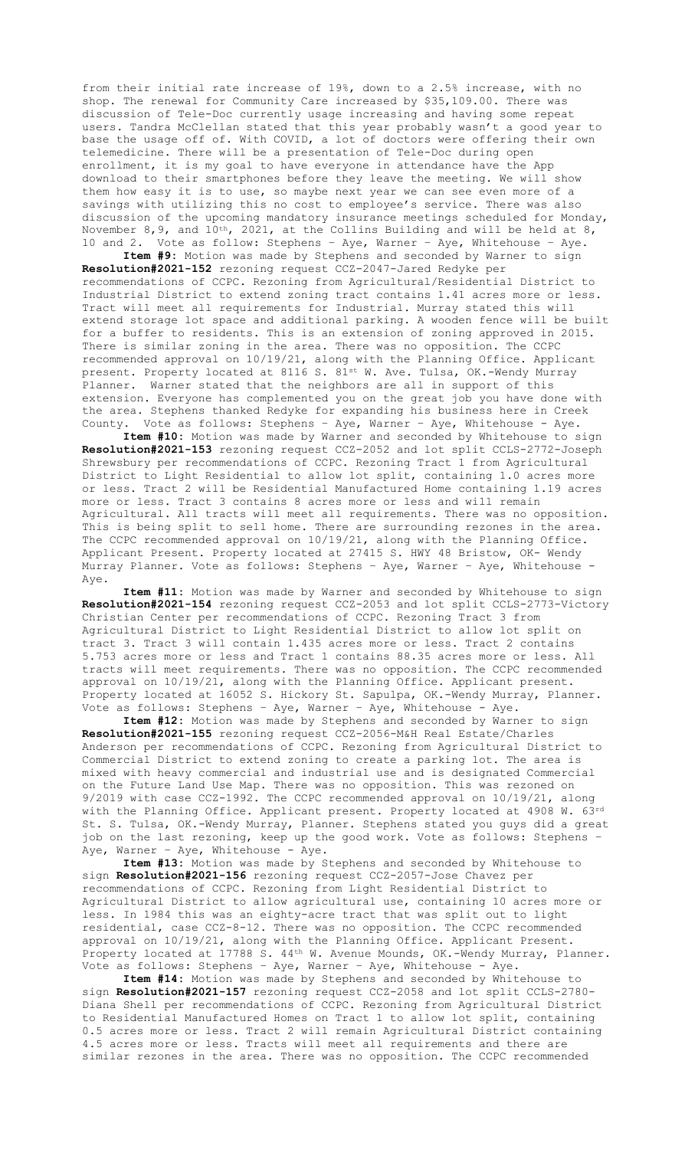from their initial rate increase of 19%, down to a 2.5% increase, with no shop. The renewal for Community Care increased by \$35,109.00. There was discussion of Tele-Doc currently usage increasing and having some repeat users. Tandra McClellan stated that this year probably wasn't a good year to base the usage off of. With COVID, a lot of doctors were offering their own telemedicine. There will be a presentation of Tele-Doc during open enrollment, it is my goal to have everyone in attendance have the App download to their smartphones before they leave the meeting. We will show them how easy it is to use, so maybe next year we can see even more of a savings with utilizing this no cost to employee's service. There was also discussion of the upcoming mandatory insurance meetings scheduled for Monday, November 8, 9, and  $10^{th}$ , 2021, at the Collins Building and will be held at 8, 10 and 2. Vote as follow: Stephens – Aye, Warner – Aye, Whitehouse – Aye.

**Item #9:** Motion was made by Stephens and seconded by Warner to sign **Resolution#2021-152** rezoning request CCZ-2047-Jared Redyke per recommendations of CCPC. Rezoning from Agricultural/Residential District to Industrial District to extend zoning tract contains 1.41 acres more or less. Tract will meet all requirements for Industrial. Murray stated this will extend storage lot space and additional parking. A wooden fence will be built for a buffer to residents. This is an extension of zoning approved in 2015. There is similar zoning in the area. There was no opposition. The CCPC recommended approval on 10/19/21, along with the Planning Office. Applicant present. Property located at 8116 S. 81st W. Ave. Tulsa, OK.-Wendy Murray Planner. Warner stated that the neighbors are all in support of this extension. Everyone has complemented you on the great job you have done with the area. Stephens thanked Redyke for expanding his business here in Creek County. Vote as follows: Stephens – Aye, Warner – Aye, Whitehouse - Aye.

**Item #10:** Motion was made by Warner and seconded by Whitehouse to sign **Resolution#2021-153** rezoning request CCZ-2052 and lot split CCLS-2772-Joseph Shrewsbury per recommendations of CCPC. Rezoning Tract 1 from Agricultural District to Light Residential to allow lot split, containing 1.0 acres more or less. Tract 2 will be Residential Manufactured Home containing 1.19 acres more or less. Tract 3 contains 8 acres more or less and will remain Agricultural. All tracts will meet all requirements. There was no opposition. This is being split to sell home. There are surrounding rezones in the area. The CCPC recommended approval on 10/19/21, along with the Planning Office. Applicant Present. Property located at 27415 S. HWY 48 Bristow, OK- Wendy Murray Planner. Vote as follows: Stephens – Aye, Warner – Aye, Whitehouse - Aye.

**Item #11:** Motion was made by Warner and seconded by Whitehouse to sign **Resolution#2021-154** rezoning request CCZ-2053 and lot split CCLS-2773-Victory Christian Center per recommendations of CCPC. Rezoning Tract 3 from Agricultural District to Light Residential District to allow lot split on tract 3. Tract 3 will contain 1.435 acres more or less. Tract 2 contains 5.753 acres more or less and Tract 1 contains 88.35 acres more or less. All tracts will meet requirements. There was no opposition. The CCPC recommended approval on 10/19/21, along with the Planning Office. Applicant present. Property located at 16052 S. Hickory St. Sapulpa, OK.-Wendy Murray, Planner. Vote as follows: Stephens – Aye, Warner – Aye, Whitehouse - Aye.

**Item #12:** Motion was made by Stephens and seconded by Warner to sign **Resolution#2021-155** rezoning request CCZ-2056-M&H Real Estate/Charles Anderson per recommendations of CCPC. Rezoning from Agricultural District to Commercial District to extend zoning to create a parking lot. The area is mixed with heavy commercial and industrial use and is designated Commercial on the Future Land Use Map. There was no opposition. This was rezoned on 9/2019 with case CCZ-1992. The CCPC recommended approval on 10/19/21, along with the Planning Office. Applicant present. Property located at 4908 W. 63rd St. S. Tulsa, OK.-Wendy Murray, Planner. Stephens stated you guys did a great job on the last rezoning, keep up the good work. Vote as follows: Stephens -Aye, Warner - Aye, Whitehouse - Aye.

**Item #13:** Motion was made by Stephens and seconded by Whitehouse to sign **Resolution#2021-156** rezoning request CCZ-2057-Jose Chavez per recommendations of CCPC. Rezoning from Light Residential District to Agricultural District to allow agricultural use, containing 10 acres more or less. In 1984 this was an eighty-acre tract that was split out to light residential, case CCZ-8-12. There was no opposition. The CCPC recommended approval on 10/19/21, along with the Planning Office. Applicant Present. Property located at 17788 S. 44<sup>th</sup> W. Avenue Mounds, OK.-Wendy Murray, Planner. Vote as follows: Stephens – Aye, Warner – Aye, Whitehouse - Aye.

**Item #14:** Motion was made by Stephens and seconded by Whitehouse to sign **Resolution#2021-157** rezoning request CCZ-2058 and lot split CCLS-2780- Diana Shell per recommendations of CCPC. Rezoning from Agricultural District to Residential Manufactured Homes on Tract 1 to allow lot split, containing 0.5 acres more or less. Tract 2 will remain Agricultural District containing 4.5 acres more or less. Tracts will meet all requirements and there are similar rezones in the area. There was no opposition. The CCPC recommended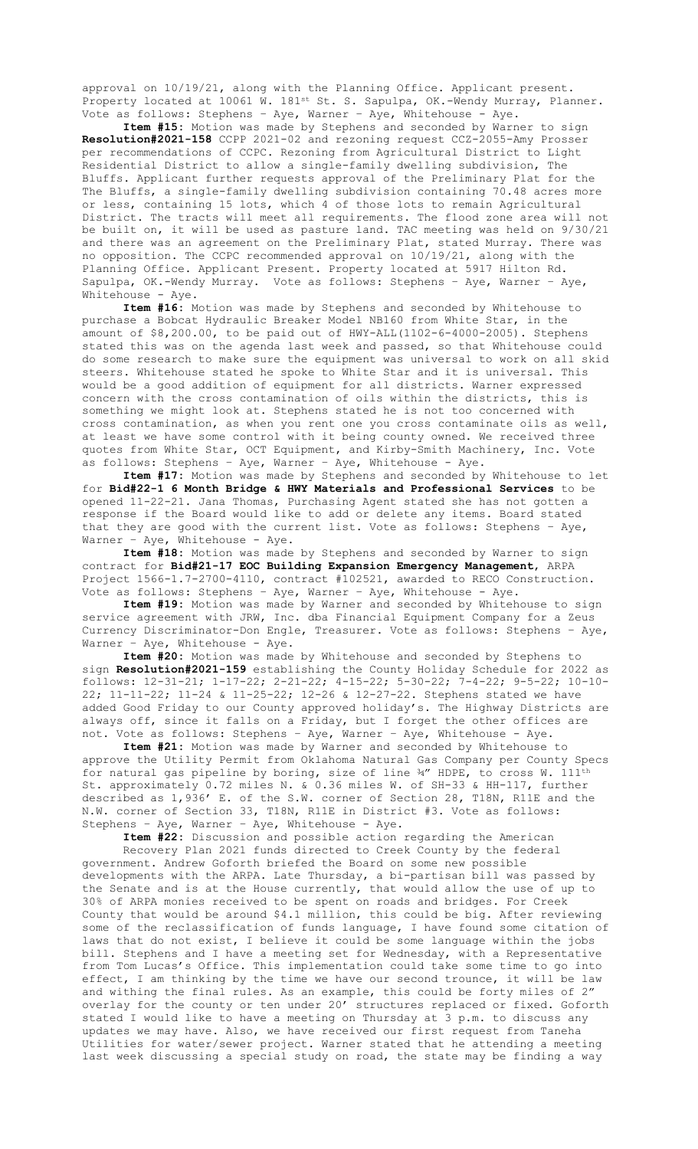approval on 10/19/21, along with the Planning Office. Applicant present. Property located at 10061 W. 181<sup>st</sup> St. S. Sapulpa, OK.-Wendy Murray, Planner. Vote as follows: Stephens - Aye, Warner - Aye, Whitehouse - Aye.

**Item #15:** Motion was made by Stephens and seconded by Warner to sign **Resolution#2021-158** CCPP 2021-02 and rezoning request CCZ-2055-Amy Prosser per recommendations of CCPC. Rezoning from Agricultural District to Light Residential District to allow a single-family dwelling subdivision, The Bluffs. Applicant further requests approval of the Preliminary Plat for the The Bluffs, a single-family dwelling subdivision containing 70.48 acres more or less, containing 15 lots, which 4 of those lots to remain Agricultural District. The tracts will meet all requirements. The flood zone area will not be built on, it will be used as pasture land. TAC meeting was held on 9/30/21 and there was an agreement on the Preliminary Plat, stated Murray. There was no opposition. The CCPC recommended approval on 10/19/21, along with the Planning Office. Applicant Present. Property located at 5917 Hilton Rd. Sapulpa, OK.-Wendy Murray. Vote as follows: Stephens – Aye, Warner – Aye, Whitehouse - Aye.

**Item #16:** Motion was made by Stephens and seconded by Whitehouse to purchase a Bobcat Hydraulic Breaker Model NB160 from White Star, in the amount of \$8,200.00, to be paid out of HWY-ALL(1102-6-4000-2005). Stephens stated this was on the agenda last week and passed, so that Whitehouse could do some research to make sure the equipment was universal to work on all skid steers. Whitehouse stated he spoke to White Star and it is universal. This would be a good addition of equipment for all districts. Warner expressed concern with the cross contamination of oils within the districts, this is something we might look at. Stephens stated he is not too concerned with cross contamination, as when you rent one you cross contaminate oils as well, at least we have some control with it being county owned. We received three quotes from White Star, OCT Equipment, and Kirby-Smith Machinery, Inc. Vote as follows: Stephens – Aye, Warner – Aye, Whitehouse - Aye.

**Item #17:** Motion was made by Stephens and seconded by Whitehouse to let for **Bid#22-1 6 Month Bridge & HWY Materials and Professional Services** to be opened 11-22-21. Jana Thomas, Purchasing Agent stated she has not gotten a response if the Board would like to add or delete any items. Board stated that they are good with the current list. Vote as follows: Stephens – Aye, Warner - Aye, Whitehouse - Aye.

**Item #18:** Motion was made by Stephens and seconded by Warner to sign contract for **Bid#21-17 EOC Building Expansion Emergency Management**, ARPA Project 1566-1.7-2700-4110, contract #102521, awarded to RECO Construction. Vote as follows: Stephens – Aye, Warner – Aye, Whitehouse - Aye.

**Item #19:** Motion was made by Warner and seconded by Whitehouse to sign service agreement with JRW, Inc. dba Financial Equipment Company for a Zeus Currency Discriminator-Don Engle, Treasurer. Vote as follows: Stephens – Aye, Warner - Aye, Whitehouse - Aye.

**Item #20:** Motion was made by Whitehouse and seconded by Stephens to sign **Resolution#2021-159** establishing the County Holiday Schedule for 2022 as follows: 12-31-21; 1-17-22; 2-21-22; 4-15-22; 5-30-22; 7-4-22; 9-5-22; 10-10- 22; 11-11-22; 11-24 & 11-25-22; 12-26 & 12-27-22. Stephens stated we have added Good Friday to our County approved holiday's. The Highway Districts are always off, since it falls on a Friday, but I forget the other offices are not. Vote as follows: Stephens – Aye, Warner – Aye, Whitehouse - Aye.

**Item #21:** Motion was made by Warner and seconded by Whitehouse to approve the Utility Permit from Oklahoma Natural Gas Company per County Specs for natural gas pipeline by boring, size of line  $\frac{24}{10}$  HDPE, to cross W. 111<sup>th</sup> St. approximately 0.72 miles N. & 0.36 miles W. of SH-33 & HH-117, further described as 1,936' E. of the S.W. corner of Section 28, T18N, R11E and the N.W. corner of Section 33, T18N, R11E in District #3. Vote as follows: Stephens – Aye, Warner – Aye, Whitehouse - Aye.

**Item #22:** Discussion and possible action regarding the American Recovery Plan 2021 funds directed to Creek County by the federal

government. Andrew Goforth briefed the Board on some new possible developments with the ARPA. Late Thursday, a bi-partisan bill was passed by the Senate and is at the House currently, that would allow the use of up to 30% of ARPA monies received to be spent on roads and bridges. For Creek County that would be around \$4.1 million, this could be big. After reviewing some of the reclassification of funds language, I have found some citation of laws that do not exist, I believe it could be some language within the jobs bill. Stephens and I have a meeting set for Wednesday, with a Representative from Tom Lucas's Office. This implementation could take some time to go into effect, I am thinking by the time we have our second trounce, it will be law and withing the final rules. As an example, this could be forty miles of 2" overlay for the county or ten under 20' structures replaced or fixed. Goforth stated I would like to have a meeting on Thursday at 3 p.m. to discuss any updates we may have. Also, we have received our first request from Taneha Utilities for water/sewer project. Warner stated that he attending a meeting last week discussing a special study on road, the state may be finding a way